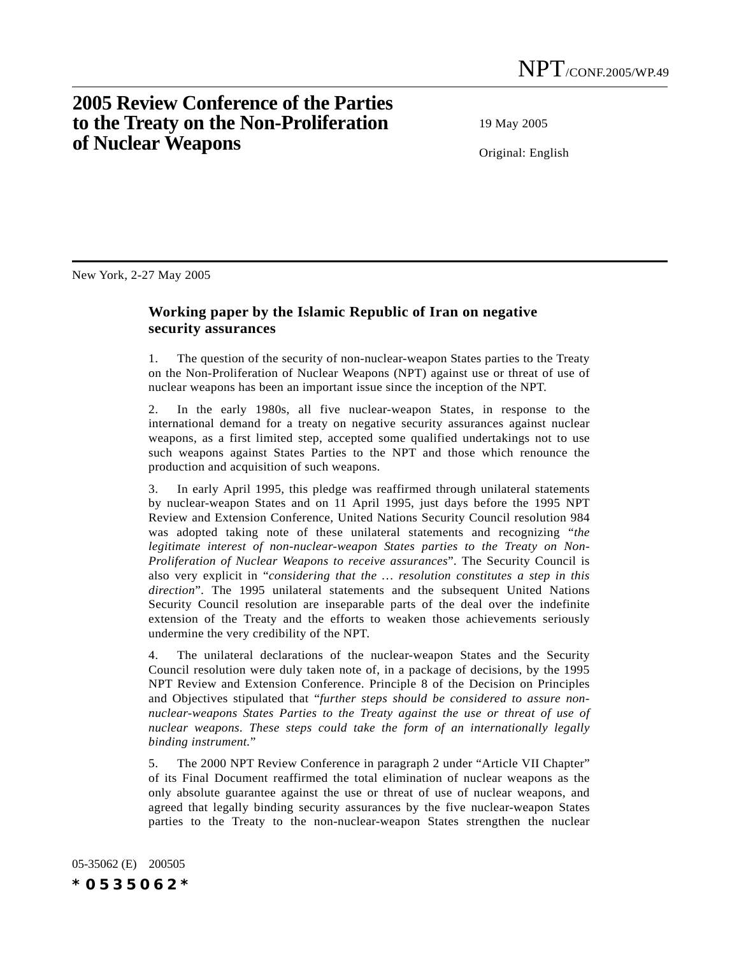## **2005 Review Conference of the Parties to the Treaty on the Non-Proliferation of Nuclear Weapons**

19 May 2005

Original: English

New York, 2-27 May 2005

## **Working paper by the Islamic Republic of Iran on negative security assurances**

1. The question of the security of non-nuclear-weapon States parties to the Treaty on the Non-Proliferation of Nuclear Weapons (NPT) against use or threat of use of nuclear weapons has been an important issue since the inception of the NPT.

2. In the early 1980s, all five nuclear-weapon States, in response to the international demand for a treaty on negative security assurances against nuclear weapons, as a first limited step, accepted some qualified undertakings not to use such weapons against States Parties to the NPT and those which renounce the production and acquisition of such weapons.

3. In early April 1995, this pledge was reaffirmed through unilateral statements by nuclear-weapon States and on 11 April 1995, just days before the 1995 NPT Review and Extension Conference, United Nations Security Council resolution 984 was adopted taking note of these unilateral statements and recognizing "*the legitimate interest of non-nuclear-weapon States parties to the Treaty on Non-Proliferation of Nuclear Weapons to receive assurances*". The Security Council is also very explicit in "*considering that the … resolution constitutes a step in this direction*". The 1995 unilateral statements and the subsequent United Nations Security Council resolution are inseparable parts of the deal over the indefinite extension of the Treaty and the efforts to weaken those achievements seriously undermine the very credibility of the NPT.

4. The unilateral declarations of the nuclear-weapon States and the Security Council resolution were duly taken note of, in a package of decisions, by the 1995 NPT Review and Extension Conference. Principle 8 of the Decision on Principles and Objectives stipulated that "*further steps should be considered to assure nonnuclear-weapons States Parties to the Treaty against the use or threat of use of nuclear weapons. These steps could take the form of an internationally legally binding instrument.*"

5. The 2000 NPT Review Conference in paragraph 2 under "Article VII Chapter" of its Final Document reaffirmed the total elimination of nuclear weapons as the only absolute guarantee against the use or threat of use of nuclear weapons, and agreed that legally binding security assurances by the five nuclear-weapon States parties to the Treaty to the non-nuclear-weapon States strengthen the nuclear